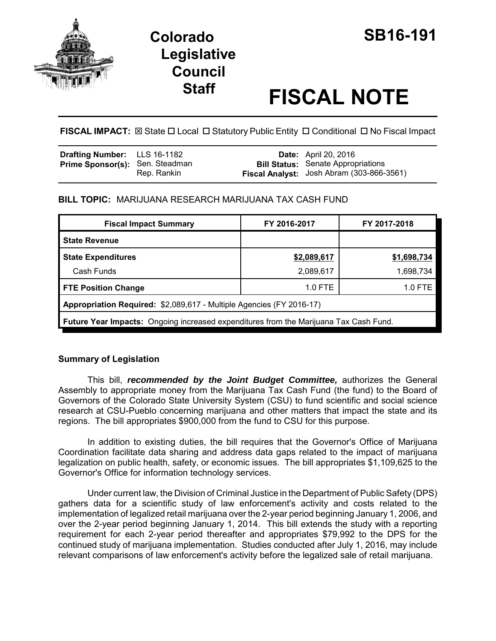

## **Colorado SB16-191 Legislative Council**

# **Staff FISCAL NOTE**

FISCAL IMPACT:  $\boxtimes$  State  $\Box$  Local  $\Box$  Statutory Public Entity  $\Box$  Conditional  $\Box$  No Fiscal Impact

| <b>Drafting Number:</b> LLS 16-1182    |             | <b>Date:</b> April 20, 2016                                                            |
|----------------------------------------|-------------|----------------------------------------------------------------------------------------|
| <b>Prime Sponsor(s):</b> Sen. Steadman | Rep. Rankin | <b>Bill Status:</b> Senate Appropriations<br>Fiscal Analyst: Josh Abram (303-866-3561) |

#### **BILL TOPIC:** MARIJUANA RESEARCH MARIJUANA TAX CASH FUND

| <b>Fiscal Impact Summary</b>                                                          | FY 2016-2017 | FY 2017-2018 |  |  |  |
|---------------------------------------------------------------------------------------|--------------|--------------|--|--|--|
| <b>State Revenue</b>                                                                  |              |              |  |  |  |
| <b>State Expenditures</b>                                                             | \$2,089,617  | \$1,698,734  |  |  |  |
| Cash Funds                                                                            | 2,089,617    | 1,698,734    |  |  |  |
| <b>FTE Position Change</b>                                                            | $1.0$ FTE    | 1.0 FTE      |  |  |  |
| Appropriation Required: \$2,089,617 - Multiple Agencies (FY 2016-17)                  |              |              |  |  |  |
| Future Year Impacts: Ongoing increased expenditures from the Marijuana Tax Cash Fund. |              |              |  |  |  |

#### **Summary of Legislation**

This bill, *recommended by the Joint Budget Committee,* authorizes the General Assembly to appropriate money from the Marijuana Tax Cash Fund (the fund) to the Board of Governors of the Colorado State University System (CSU) to fund scientific and social science research at CSU-Pueblo concerning marijuana and other matters that impact the state and its regions. The bill appropriates \$900,000 from the fund to CSU for this purpose.

In addition to existing duties, the bill requires that the Governor's Office of Marijuana Coordination facilitate data sharing and address data gaps related to the impact of marijuana legalization on public health, safety, or economic issues. The bill appropriates \$1,109,625 to the Governor's Office for information technology services.

Under current law, the Division of Criminal Justice in the Department of Public Safety (DPS) gathers data for a scientific study of law enforcement's activity and costs related to the implementation of legalized retail marijuana over the 2-year period beginning January 1, 2006, and over the 2-year period beginning January 1, 2014. This bill extends the study with a reporting requirement for each 2-year period thereafter and appropriates \$79,992 to the DPS for the continued study of marijuana implementation. Studies conducted after July 1, 2016, may include relevant comparisons of law enforcement's activity before the legalized sale of retail marijuana.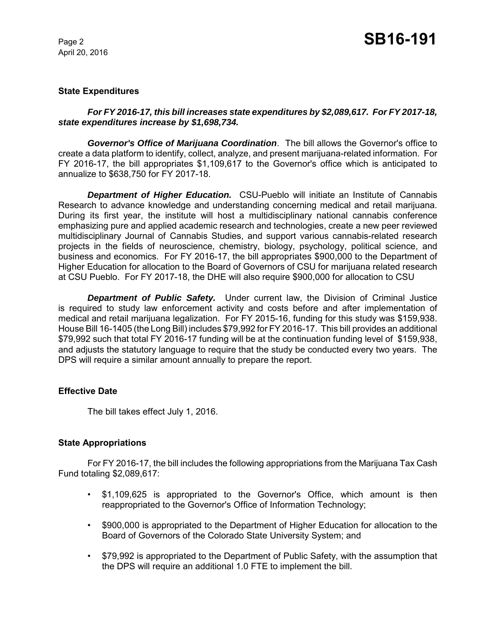April 20, 2016

#### **State Expenditures**

#### *For FY 2016-17, this bill increases state expenditures by \$2,089,617. For FY 2017-18, state expenditures increase by \$1,698,734.*

*Governor's Office of Marijuana Coordination*. The bill allows the Governor's office to create a data platform to identify, collect, analyze, and present marijuana-related information. For FY 2016-17, the bill appropriates \$1,109,617 to the Governor's office which is anticipated to annualize to \$638,750 for FY 2017-18.

**Department of Higher Education.** CSU-Pueblo will initiate an Institute of Cannabis Research to advance knowledge and understanding concerning medical and retail marijuana. During its first year, the institute will host a multidisciplinary national cannabis conference emphasizing pure and applied academic research and technologies, create a new peer reviewed multidisciplinary Journal of Cannabis Studies, and support various cannabis-related research projects in the fields of neuroscience, chemistry, biology, psychology, political science, and business and economics. For FY 2016-17, the bill appropriates \$900,000 to the Department of Higher Education for allocation to the Board of Governors of CSU for marijuana related research at CSU Pueblo. For FY 2017-18, the DHE will also require \$900,000 for allocation to CSU

*Department of Public Safety.* Under current law, the Division of Criminal Justice is required to study law enforcement activity and costs before and after implementation of medical and retail marijuana legalization. For FY 2015-16, funding for this study was \$159,938. House Bill 16-1405 (the Long Bill) includes \$79,992 for FY 2016-17. This bill provides an additional \$79,992 such that total FY 2016-17 funding will be at the continuation funding level of \$159,938, and adjusts the statutory language to require that the study be conducted every two years. The DPS will require a similar amount annually to prepare the report.

#### **Effective Date**

The bill takes effect July 1, 2016.

#### **State Appropriations**

For FY 2016-17, the bill includes the following appropriations from the Marijuana Tax Cash Fund totaling \$2,089,617:

- \$1,109,625 is appropriated to the Governor's Office, which amount is then reappropriated to the Governor's Office of Information Technology;
- \$900,000 is appropriated to the Department of Higher Education for allocation to the Board of Governors of the Colorado State University System; and
- \$79,992 is appropriated to the Department of Public Safety, with the assumption that the DPS will require an additional 1.0 FTE to implement the bill.